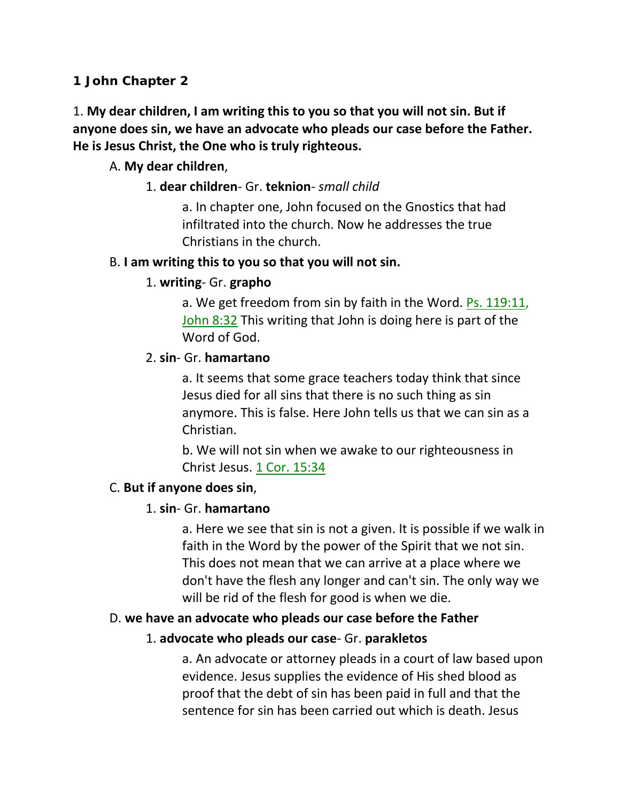**1 John Chapter 2**

1. **My dear children, I am writing this to you so that you will not sin. But if anyone does sin, we have an advocate who pleads our case before the Father. He is Jesus Christ, the One who is truly righteous.**

# A. **My dear children**,

### 1. **dear children**- Gr. **teknion**- *small child*

a. In chapter one, John focused on the Gnostics that had infiltrated into the church. Now he addresses the true Christians in the church.

### B. **I am writing this to you so that you will not sin.**

### 1. **writing**- Gr. **grapho**

a. We get freedom from sin by faith in the Word. Ps. 119:11, John 8:32 This writing that John is doing here is part of the Word of God.

### 2. **sin**- Gr. **hamartano**

a. It seems that some grace teachers today think that since Jesus died for all sins that there is no such thing as sin anymore. This is false. Here John tells us that we can sin as a Christian.

b. We will not sin when we awake to our righteousness in Christ Jesus. 1 Cor. 15:34

# C. **But if anyone does sin**,

# 1. **sin**- Gr. **hamartano**

a. Here we see that sin is not a given. It is possible if we walk in faith in the Word by the power of the Spirit that we not sin. This does not mean that we can arrive at a place where we don't have the flesh any longer and can't sin. The only way we will be rid of the flesh for good is when we die.

#### D. **we have an advocate who pleads our case before the Father**

# 1. **advocate who pleads our case**- Gr. **parakletos**

a. An advocate or attorney pleads in a court of law based upon evidence. Jesus supplies the evidence of His shed blood as proof that the debt of sin has been paid in full and that the sentence for sin has been carried out which is death. Jesus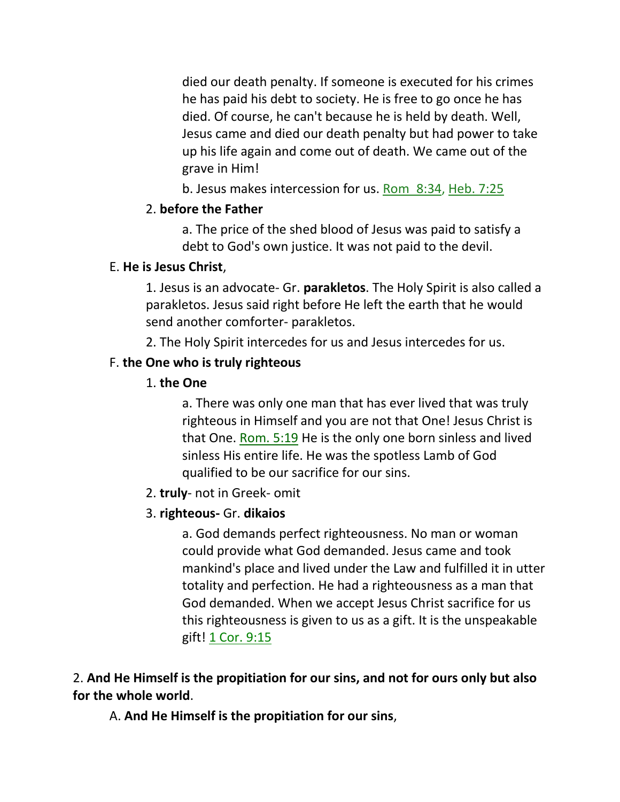died our death penalty. If someone is executed for his crimes he has paid his debt to society. He is free to go once he has died. Of course, he can't because he is held by death. Well, Jesus came and died our death penalty but had power to take up his life again and come out of death. We came out of the grave in Him!

b. Jesus makes intercession for us. Rom\_8:34, Heb. 7:25

# 2. **before the Father**

a. The price of the shed blood of Jesus was paid to satisfy a debt to God's own justice. It was not paid to the devil.

# E. **He is Jesus Christ**,

1. Jesus is an advocate- Gr. **parakletos**. The Holy Spirit is also called a parakletos. Jesus said right before He left the earth that he would send another comforter- parakletos.

2. The Holy Spirit intercedes for us and Jesus intercedes for us.

# F. **the One who is truly righteous**

# 1. **the One**

a. There was only one man that has ever lived that was truly righteous in Himself and you are not that One! Jesus Christ is that One. Rom. 5:19 He is the only one born sinless and lived sinless His entire life. He was the spotless Lamb of God qualified to be our sacrifice for our sins.

2. **truly**- not in Greek- omit

# 3. **righteous-** Gr. **dikaios**

a. God demands perfect righteousness. No man or woman could provide what God demanded. Jesus came and took mankind's place and lived under the Law and fulfilled it in utter totality and perfection. He had a righteousness as a man that God demanded. When we accept Jesus Christ sacrifice for us this righteousness is given to us as a gift. It is the unspeakable gift! 1 Cor. 9:15

2. **And He Himself is the propitiation for our sins, and not for ours only but also for the whole world**.

A. **And He Himself is the propitiation for our sins**,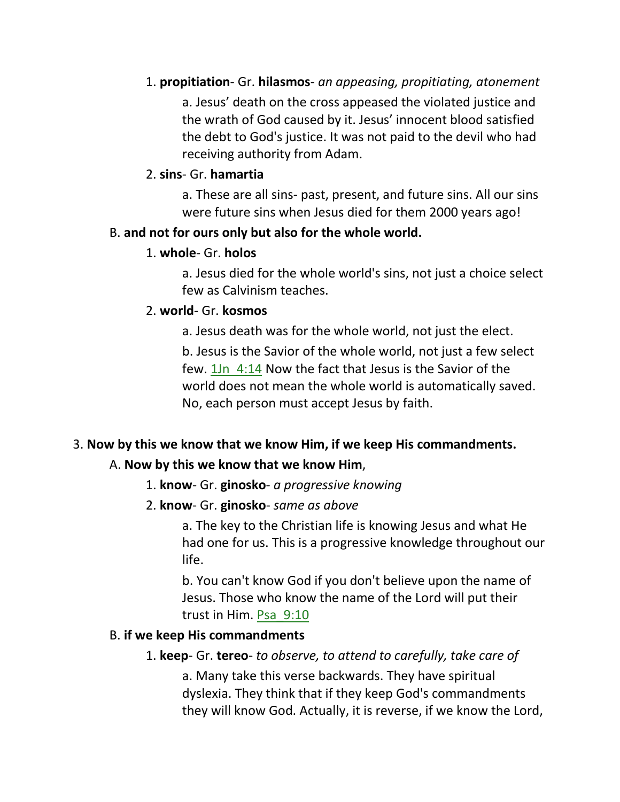# 1. **propitiation**- Gr. **hilasmos**- *an appeasing, propitiating, atonement* a. Jesus' death on the cross appeased the violated justice and the wrath of God caused by it. Jesus' innocent blood satisfied the debt to God's justice. It was not paid to the devil who had receiving authority from Adam.

# 2. **sins**- Gr. **hamartia**

a. These are all sins- past, present, and future sins. All our sins were future sins when Jesus died for them 2000 years ago!

# B. **and not for ours only but also for the whole world.**

# 1. **whole**- Gr. **holos**

a. Jesus died for the whole world's sins, not just a choice select few as Calvinism teaches.

# 2. **world**- Gr. **kosmos**

a. Jesus death was for the whole world, not just the elect.

b. Jesus is the Savior of the whole world, not just a few select few. 1Jn\_4:14 Now the fact that Jesus is the Savior of the world does not mean the whole world is automatically saved. No, each person must accept Jesus by faith.

# 3. **Now by this we know that we know Him, if we keep His commandments.**

# A. **Now by this we know that we know Him**,

- 1. **know** Gr. **ginosko** *a progressive knowing*
- 2. **know** Gr. **ginosko** *same as above*

a. The key to the Christian life is knowing Jesus and what He had one for us. This is a progressive knowledge throughout our life.

b. You can't know God if you don't believe upon the name of Jesus. Those who know the name of the Lord will put their trust in Him. Psa\_9:10

# B. **if we keep His commandments**

1. **keep**- Gr. **tereo**- *to observe, to attend to carefully, take care of*

a. Many take this verse backwards. They have spiritual dyslexia. They think that if they keep God's commandments they will know God. Actually, it is reverse, if we know the Lord,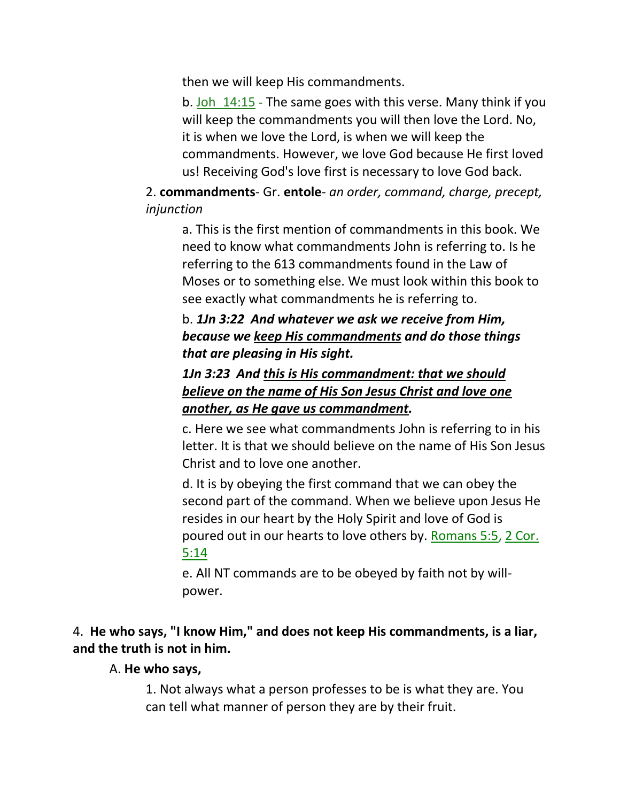then we will keep His commandments.

b. Joh 14:15 - The same goes with this verse. Many think if you will keep the commandments you will then love the Lord. No, it is when we love the Lord, is when we will keep the commandments. However, we love God because He first loved us! Receiving God's love first is necessary to love God back.

2. **commandments**- Gr. **entole**- *an order, command, charge, precept, injunction*

a. This is the first mention of commandments in this book. We need to know what commandments John is referring to. Is he referring to the 613 commandments found in the Law of Moses or to something else. We must look within this book to see exactly what commandments he is referring to.

# b. *1Jn 3:22 And whatever we ask we receive from Him, because we keep His commandments and do those things that are pleasing in His sight.*

# *1Jn 3:23 And this is His commandment: that we should believe on the name of His Son Jesus Christ and love one another, as He gave us commandment.*

c. Here we see what commandments John is referring to in his letter. It is that we should believe on the name of His Son Jesus Christ and to love one another.

d. It is by obeying the first command that we can obey the second part of the command. When we believe upon Jesus He resides in our heart by the Holy Spirit and love of God is poured out in our hearts to love others by. Romans 5:5, 2 Cor. 5:14

e. All NT commands are to be obeyed by faith not by willpower.

# 4. **He who says, "I know Him," and does not keep His commandments, is a liar, and the truth is not in him.**

#### A. **He who says,**

1. Not always what a person professes to be is what they are. You can tell what manner of person they are by their fruit.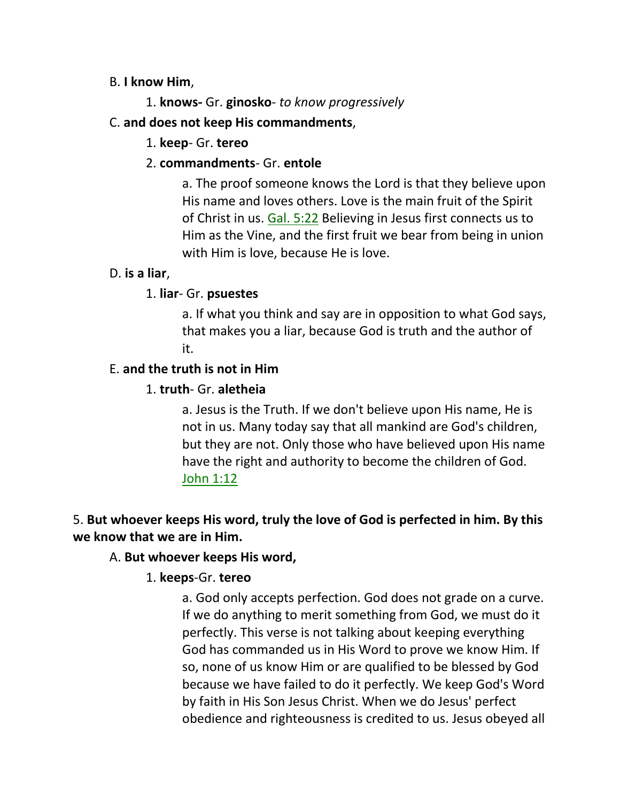#### B. **I know Him**,

1. **knows-** Gr. **ginosko**- *to know progressively*

### C. **and does not keep His commandments**,

### 1. **keep**- Gr. **tereo**

### 2. **commandments**- Gr. **entole**

a. The proof someone knows the Lord is that they believe upon His name and loves others. Love is the main fruit of the Spirit of Christ in us. Gal. 5:22 Believing in Jesus first connects us to Him as the Vine, and the first fruit we bear from being in union with Him is love, because He is love.

#### D. **is a liar**,

### 1. **liar**- Gr. **psuestes**

a. If what you think and say are in opposition to what God says, that makes you a liar, because God is truth and the author of it.

#### E. **and the truth is not in Him**

### 1. **truth**- Gr. **aletheia**

a. Jesus is the Truth. If we don't believe upon His name, He is not in us. Many today say that all mankind are God's children, but they are not. Only those who have believed upon His name have the right and authority to become the children of God. John 1:12

# 5. **But whoever keeps His word, truly the love of God is perfected in him. By this we know that we are in Him.**

#### A. **But whoever keeps His word,**

# 1. **keeps**-Gr. **tereo**

a. God only accepts perfection. God does not grade on a curve. If we do anything to merit something from God, we must do it perfectly. This verse is not talking about keeping everything God has commanded us in His Word to prove we know Him. If so, none of us know Him or are qualified to be blessed by God because we have failed to do it perfectly. We keep God's Word by faith in His Son Jesus Christ. When we do Jesus' perfect obedience and righteousness is credited to us. Jesus obeyed all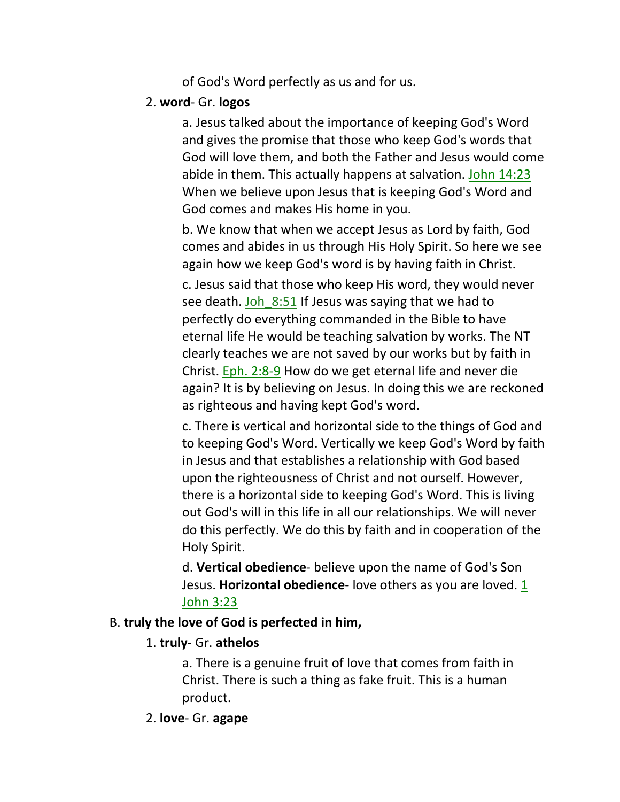of God's Word perfectly as us and for us.

### 2. **word**- Gr. **logos**

a. Jesus talked about the importance of keeping God's Word and gives the promise that those who keep God's words that God will love them, and both the Father and Jesus would come abide in them. This actually happens at salvation. John 14:23 When we believe upon Jesus that is keeping God's Word and God comes and makes His home in you.

b. We know that when we accept Jesus as Lord by faith, God comes and abides in us through His Holy Spirit. So here we see again how we keep God's word is by having faith in Christ. c. Jesus said that those who keep His word, they would never see death. Joh 8:51 If Jesus was saying that we had to perfectly do everything commanded in the Bible to have eternal life He would be teaching salvation by works. The NT clearly teaches we are not saved by our works but by faith in Christ. Eph. 2:8-9 How do we get eternal life and never die again? It is by believing on Jesus. In doing this we are reckoned as righteous and having kept God's word.

c. There is vertical and horizontal side to the things of God and to keeping God's Word. Vertically we keep God's Word by faith in Jesus and that establishes a relationship with God based upon the righteousness of Christ and not ourself. However, there is a horizontal side to keeping God's Word. This is living out God's will in this life in all our relationships. We will never do this perfectly. We do this by faith and in cooperation of the Holy Spirit.

d. **Vertical obedience**- believe upon the name of God's Son Jesus. **Horizontal obedience**- love others as you are loved. 1 John 3:23

# B. **truly the love of God is perfected in him,**

# 1. **truly**- Gr. **athelos**

a. There is a genuine fruit of love that comes from faith in Christ. There is such a thing as fake fruit. This is a human product.

# 2. **love**- Gr. **agape**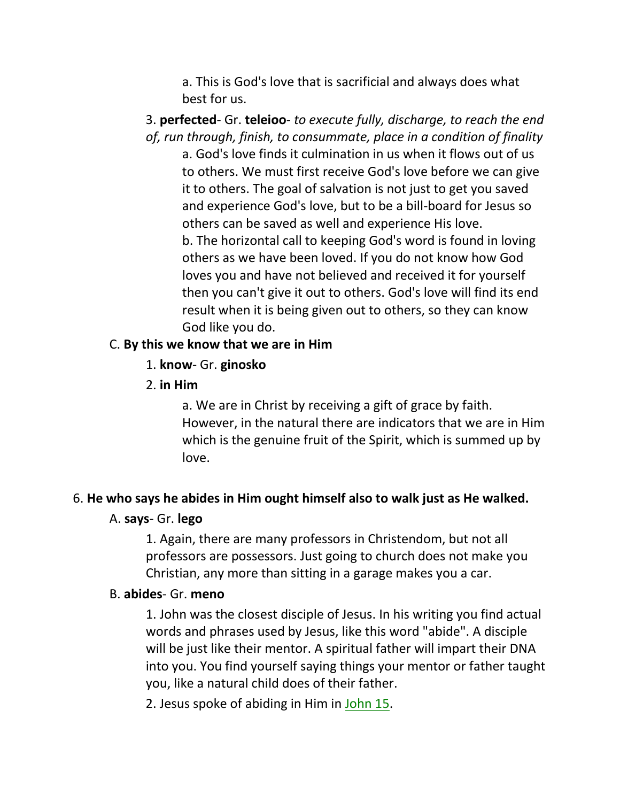a. This is God's love that is sacrificial and always does what best for us.

3. **perfected**- Gr. **teleioo**- *to execute fully, discharge, to reach the end of, run through, finish, to consummate, place in a condition of finality* a. God's love finds it culmination in us when it flows out of us to others. We must first receive God's love before we can give it to others. The goal of salvation is not just to get you saved and experience God's love, but to be a bill-board for Jesus so others can be saved as well and experience His love. b. The horizontal call to keeping God's word is found in loving others as we have been loved. If you do not know how God loves you and have not believed and received it for yourself then you can't give it out to others. God's love will find its end result when it is being given out to others, so they can know God like you do.

#### C. **By this we know that we are in Him**

- 1. **know** Gr. **ginosko**
- 2. **in Him**

a. We are in Christ by receiving a gift of grace by faith. However, in the natural there are indicators that we are in Him which is the genuine fruit of the Spirit, which is summed up by love.

# 6. **He who says he abides in Him ought himself also to walk just as He walked.**

#### A. **says**- Gr. **lego**

1. Again, there are many professors in Christendom, but not all professors are possessors. Just going to church does not make you Christian, any more than sitting in a garage makes you a car.

#### B. **abides**- Gr. **meno**

1. John was the closest disciple of Jesus. In his writing you find actual words and phrases used by Jesus, like this word "abide". A disciple will be just like their mentor. A spiritual father will impart their DNA into you. You find yourself saying things your mentor or father taught you, like a natural child does of their father.

2. Jesus spoke of abiding in Him in John 15.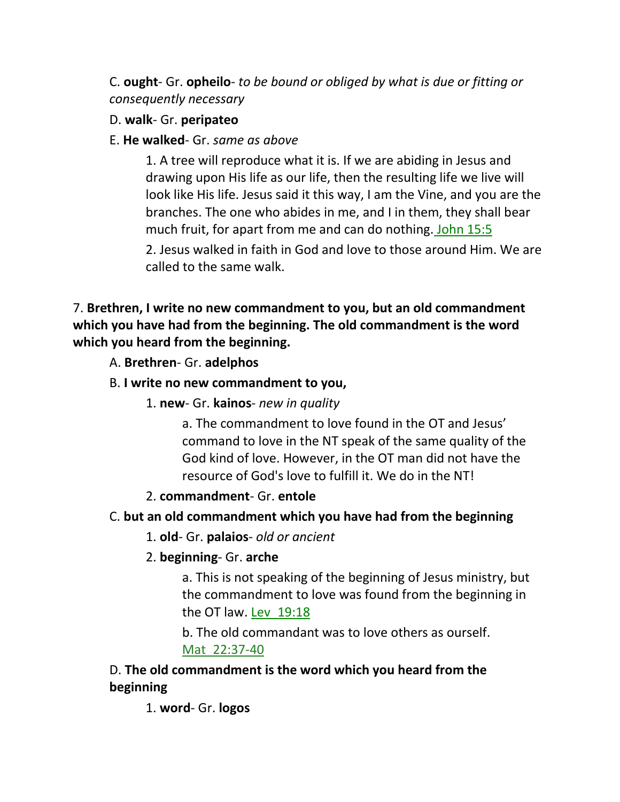C. **ought**- Gr. **opheilo**- *to be bound or obliged by what is due or fitting or consequently necessary*

### D. **walk**- Gr. **peripateo**

### E. **He walked**- Gr. *same as above*

1. A tree will reproduce what it is. If we are abiding in Jesus and drawing upon His life as our life, then the resulting life we live will look like His life. Jesus said it this way, I am the Vine, and you are the branches. The one who abides in me, and I in them, they shall bear much fruit, for apart from me and can do nothing. John 15:5

2. Jesus walked in faith in God and love to those around Him. We are called to the same walk.

# 7. **Brethren, I write no new commandment to you, but an old commandment which you have had from the beginning. The old commandment is the word which you heard from the beginning.**

A. **Brethren**- Gr. **adelphos**

# B. **I write no new commandment to you,**

1. **new**- Gr. **kainos**- *new in quality*

a. The commandment to love found in the OT and Jesus' command to love in the NT speak of the same quality of the God kind of love. However, in the OT man did not have the resource of God's love to fulfill it. We do in the NT!

# 2. **commandment**- Gr. **entole**

# C. **but an old commandment which you have had from the beginning**

- 1. **old** Gr. **palaios** *old or ancient*
- 2. **beginning** Gr. **arche**

a. This is not speaking of the beginning of Jesus ministry, but the commandment to love was found from the beginning in the OT law. Lev\_19:18

b. The old commandant was to love others as ourself. Mat\_22:37-40

# D. **The old commandment is the word which you heard from the beginning**

1. **word**- Gr. **logos**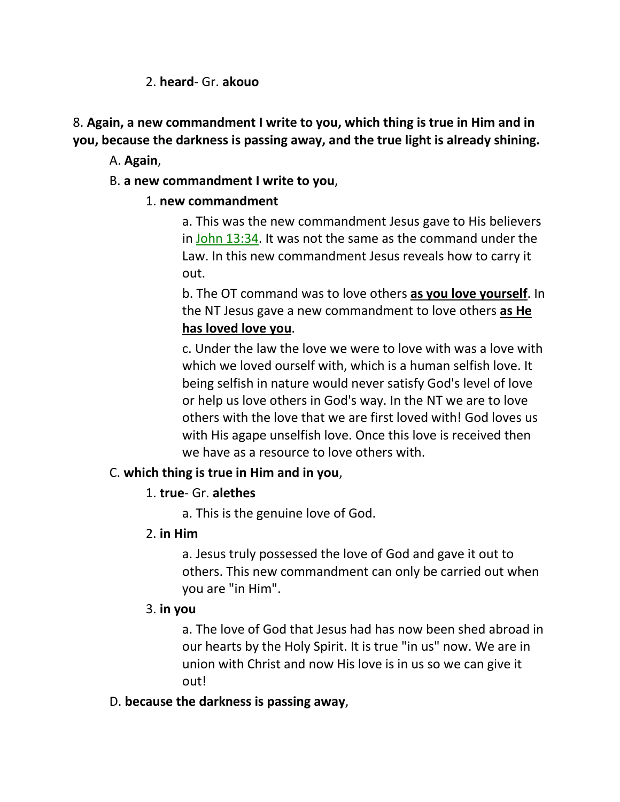### 2. **heard**- Gr. **akouo**

8. **Again, a new commandment I write to you, which thing is true in Him and in you, because the darkness is passing away, and the true light is already shining.**

A. **Again**,

### B. **a new commandment I write to you**,

### 1. **new commandment**

a. This was the new commandment Jesus gave to His believers in John 13:34. It was not the same as the command under the Law. In this new commandment Jesus reveals how to carry it out.

b. The OT command was to love others **as you love yourself**. In the NT Jesus gave a new commandment to love others **as He has loved love you**.

c. Under the law the love we were to love with was a love with which we loved ourself with, which is a human selfish love. It being selfish in nature would never satisfy God's level of love or help us love others in God's way. In the NT we are to love others with the love that we are first loved with! God loves us with His agape unselfish love. Once this love is received then we have as a resource to love others with.

# C. **which thing is true in Him and in you**,

#### 1. **true**- Gr. **alethes**

a. This is the genuine love of God.

# 2. **in Him**

a. Jesus truly possessed the love of God and gave it out to others. This new commandment can only be carried out when you are "in Him".

# 3. **in you**

a. The love of God that Jesus had has now been shed abroad in our hearts by the Holy Spirit. It is true "in us" now. We are in union with Christ and now His love is in us so we can give it out!

#### D. **because the darkness is passing away**,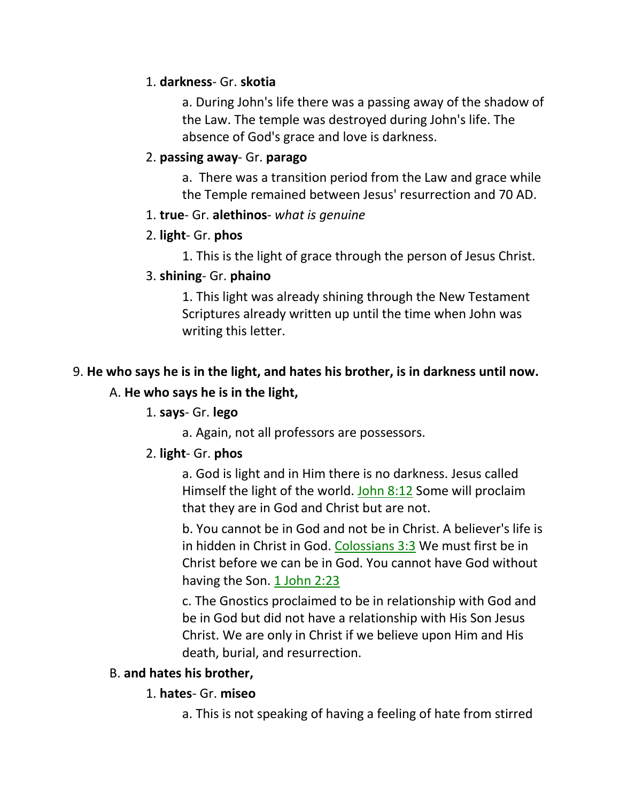### 1. **darkness**- Gr. **skotia**

a. During John's life there was a passing away of the shadow of the Law. The temple was destroyed during John's life. The absence of God's grace and love is darkness.

### 2. **passing away**- Gr. **parago**

a. There was a transition period from the Law and grace while the Temple remained between Jesus' resurrection and 70 AD.

#### 1. **true**- Gr. **alethinos**- *what is genuine*

### 2. **light**- Gr. **phos**

1. This is the light of grace through the person of Jesus Christ.

# 3. **shining**- Gr. **phaino**

1. This light was already shining through the New Testament Scriptures already written up until the time when John was writing this letter.

# 9. **He who says he is in the light, and hates his brother, is in darkness until now.**  A. **He who says he is in the light,**

# 1. **says**- Gr. **lego**

a. Again, not all professors are possessors.

# 2. **light**- Gr. **phos**

a. God is light and in Him there is no darkness. Jesus called Himself the light of the world. John 8:12 Some will proclaim that they are in God and Christ but are not.

b. You cannot be in God and not be in Christ. A believer's life is in hidden in Christ in God. Colossians 3:3 We must first be in Christ before we can be in God. You cannot have God without having the Son. 1 John 2:23

c. The Gnostics proclaimed to be in relationship with God and be in God but did not have a relationship with His Son Jesus Christ. We are only in Christ if we believe upon Him and His death, burial, and resurrection.

# B. **and hates his brother,**

# 1. **hates**- Gr. **miseo**

a. This is not speaking of having a feeling of hate from stirred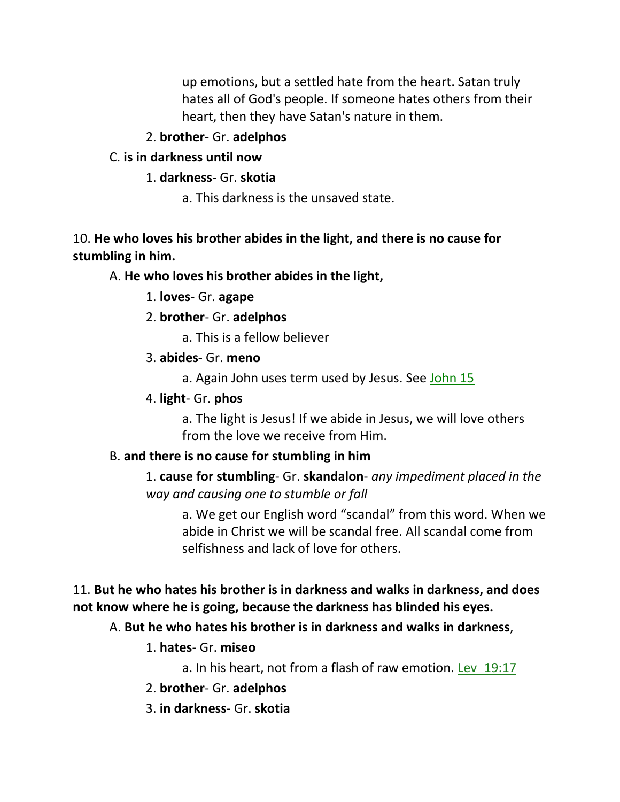up emotions, but a settled hate from the heart. Satan truly hates all of God's people. If someone hates others from their heart, then they have Satan's nature in them.

# 2. **brother**- Gr. **adelphos**

# C. **is in darkness until now**

# 1. **darkness**- Gr. **skotia**

a. This darkness is the unsaved state.

# 10. **He who loves his brother abides in the light, and there is no cause for stumbling in him.**

# A. **He who loves his brother abides in the light,**

1. **loves**- Gr. **agape**

# 2. **brother**- Gr. **adelphos**

a. This is a fellow believer

# 3. **abides**- Gr. **meno**

a. Again John uses term used by Jesus. See John 15

# 4. **light**- Gr. **phos**

a. The light is Jesus! If we abide in Jesus, we will love others from the love we receive from Him.

# B. **and there is no cause for stumbling in him**

1. **cause for stumbling**- Gr. **skandalon**- *any impediment placed in the way and causing one to stumble or fall*

a. We get our English word "scandal" from this word. When we abide in Christ we will be scandal free. All scandal come from selfishness and lack of love for others.

# 11. **But he who hates his brother is in darkness and walks in darkness, and does not know where he is going, because the darkness has blinded his eyes.**

# A. **But he who hates his brother is in darkness and walks in darkness**,

1. **hates**- Gr. **miseo**

a. In his heart, not from a flash of raw emotion. Lev\_19:17

- 2. **brother** Gr. **adelphos**
- 3. **in darkness** Gr. **skotia**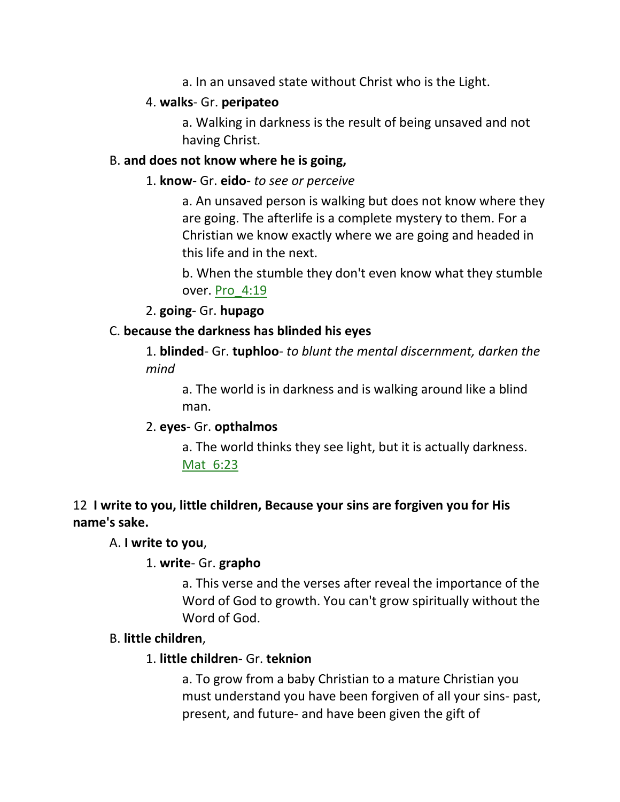a. In an unsaved state without Christ who is the Light.

#### 4. **walks**- Gr. **peripateo**

a. Walking in darkness is the result of being unsaved and not having Christ.

#### B. **and does not know where he is going,**

#### 1. **know**- Gr. **eido**- *to see or perceive*

a. An unsaved person is walking but does not know where they are going. The afterlife is a complete mystery to them. For a Christian we know exactly where we are going and headed in this life and in the next.

b. When the stumble they don't even know what they stumble over. Pro\_4:19

2. **going**- Gr. **hupago**

#### C. **because the darkness has blinded his eyes**

1. **blinded**- Gr. **tuphloo**- *to blunt the mental discernment, darken the mind*

a. The world is in darkness and is walking around like a blind man.

# 2. **eyes**- Gr. **opthalmos**

a. The world thinks they see light, but it is actually darkness. Mat\_6:23

# 12 **I write to you, little children, Because your sins are forgiven you for His name's sake.**

#### A. **I write to you**,

#### 1. **write**- Gr. **grapho**

a. This verse and the verses after reveal the importance of the Word of God to growth. You can't grow spiritually without the Word of God.

# B. **little children**,

#### 1. **little children**- Gr. **teknion**

a. To grow from a baby Christian to a mature Christian you must understand you have been forgiven of all your sins- past, present, and future- and have been given the gift of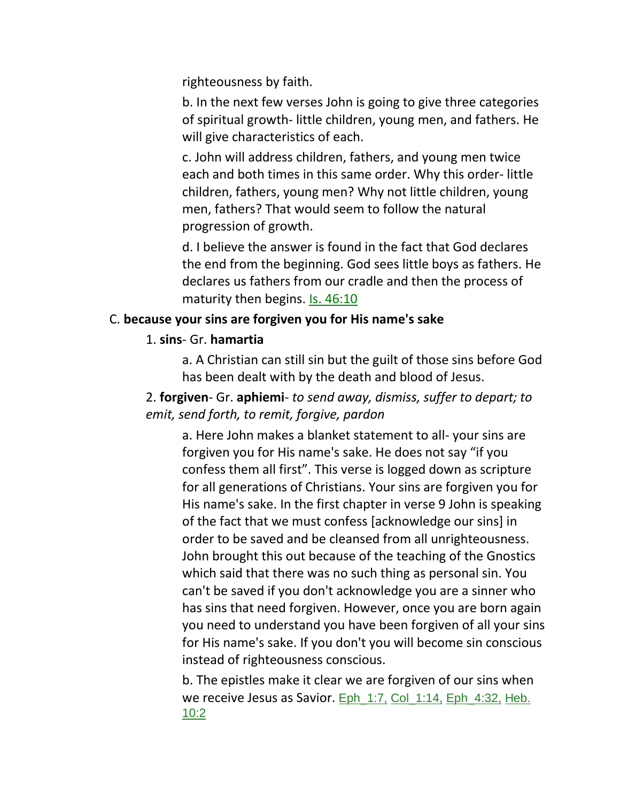righteousness by faith.

b. In the next few verses John is going to give three categories of spiritual growth- little children, young men, and fathers. He will give characteristics of each.

c. John will address children, fathers, and young men twice each and both times in this same order. Why this order- little children, fathers, young men? Why not little children, young men, fathers? That would seem to follow the natural progression of growth.

d. I believe the answer is found in the fact that God declares the end from the beginning. God sees little boys as fathers. He declares us fathers from our cradle and then the process of maturity then begins. Is. 46:10

#### C. **because your sins are forgiven you for His name's sake**

#### 1. **sins**- Gr. **hamartia**

a. A Christian can still sin but the guilt of those sins before God has been dealt with by the death and blood of Jesus.

2. **forgiven**- Gr. **aphiemi**- *to send away, dismiss, suffer to depart; to emit, send forth, to remit, forgive, pardon*

a. Here John makes a blanket statement to all- your sins are forgiven you for His name's sake. He does not say "if you confess them all first". This verse is logged down as scripture for all generations of Christians. Your sins are forgiven you for His name's sake. In the first chapter in verse 9 John is speaking of the fact that we must confess [acknowledge our sins] in order to be saved and be cleansed from all unrighteousness. John brought this out because of the teaching of the Gnostics which said that there was no such thing as personal sin. You can't be saved if you don't acknowledge you are a sinner who has sins that need forgiven. However, once you are born again you need to understand you have been forgiven of all your sins for His name's sake. If you don't you will become sin conscious instead of righteousness conscious.

b. The epistles make it clear we are forgiven of our sins when we receive Jesus as Savior. Eph\_1:7, Col\_1:14, Eph\_4:32, Heb. 10:2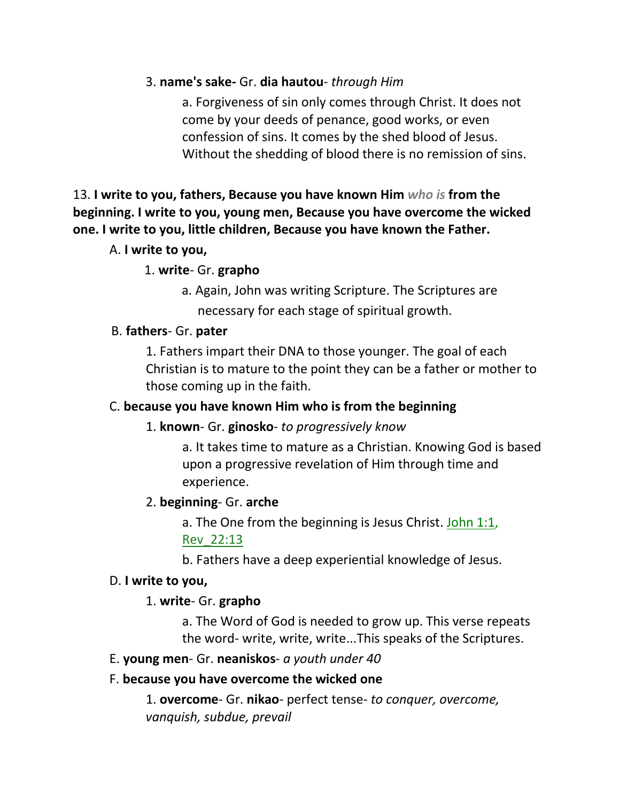#### 3. **name's sake-** Gr. **dia hautou**- *through Him*

a. Forgiveness of sin only comes through Christ. It does not come by your deeds of penance, good works, or even confession of sins. It comes by the shed blood of Jesus. Without the shedding of blood there is no remission of sins.

13. **I write to you, fathers, Because you have known Him** *who is* **from the beginning. I write to you, young men, Because you have overcome the wicked one. I write to you, little children, Because you have known the Father.** 

#### A. **I write to you,**

#### 1. **write**- Gr. **grapho**

 a. Again, John was writing Scripture. The Scriptures are necessary for each stage of spiritual growth.

#### B. **fathers**- Gr. **pater**

1. Fathers impart their DNA to those younger. The goal of each Christian is to mature to the point they can be a father or mother to those coming up in the faith.

#### C. **because you have known Him who is from the beginning**

#### 1. **known**- Gr. **ginosko**- *to progressively know*

a. It takes time to mature as a Christian. Knowing God is based upon a progressive revelation of Him through time and experience.

#### 2. **beginning**- Gr. **arche**

a. The One from the beginning is Jesus Christ. John 1:1, Rev\_22:13

b. Fathers have a deep experiential knowledge of Jesus.

#### D. **I write to you,**

#### 1. **write**- Gr. **grapho**

a. The Word of God is needed to grow up. This verse repeats the word- write, write, write...This speaks of the Scriptures.

#### E. **young men**- Gr. **neaniskos**- *a youth under 40*

#### F. **because you have overcome the wicked one**

1. **overcome**- Gr. **nikao**- perfect tense- *to conquer, overcome, vanquish, subdue, prevail*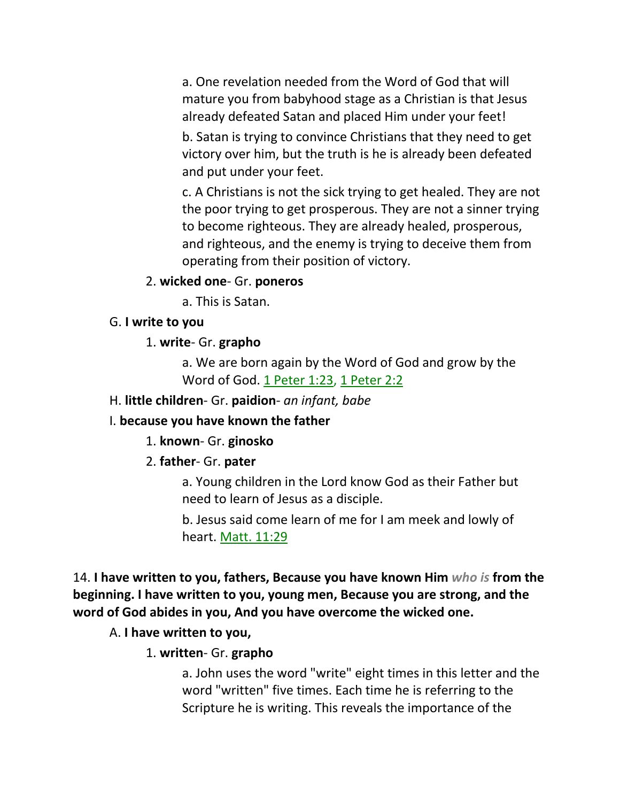a. One revelation needed from the Word of God that will mature you from babyhood stage as a Christian is that Jesus already defeated Satan and placed Him under your feet!

b. Satan is trying to convince Christians that they need to get victory over him, but the truth is he is already been defeated and put under your feet.

c. A Christians is not the sick trying to get healed. They are not the poor trying to get prosperous. They are not a sinner trying to become righteous. They are already healed, prosperous, and righteous, and the enemy is trying to deceive them from operating from their position of victory.

#### 2. **wicked one**- Gr. **poneros**

a. This is Satan.

#### G. **I write to you**

#### 1. **write**- Gr. **grapho**

a. We are born again by the Word of God and grow by the Word of God. 1 Peter 1:23, 1 Peter 2:2

#### H. **little children**- Gr. **paidion**- *an infant, babe*

#### I. **because you have known the father**

#### 1. **known**- Gr. **ginosko**

#### 2. **father**- Gr. **pater**

a. Young children in the Lord know God as their Father but need to learn of Jesus as a disciple.

b. Jesus said come learn of me for I am meek and lowly of heart. Matt. 11:29

14. **I have written to you, fathers, Because you have known Him** *who is* **from the beginning. I have written to you, young men, Because you are strong, and the word of God abides in you, And you have overcome the wicked one.**

#### A. **I have written to you,**

#### 1. **written**- Gr. **grapho**

a. John uses the word "write" eight times in this letter and the word "written" five times. Each time he is referring to the Scripture he is writing. This reveals the importance of the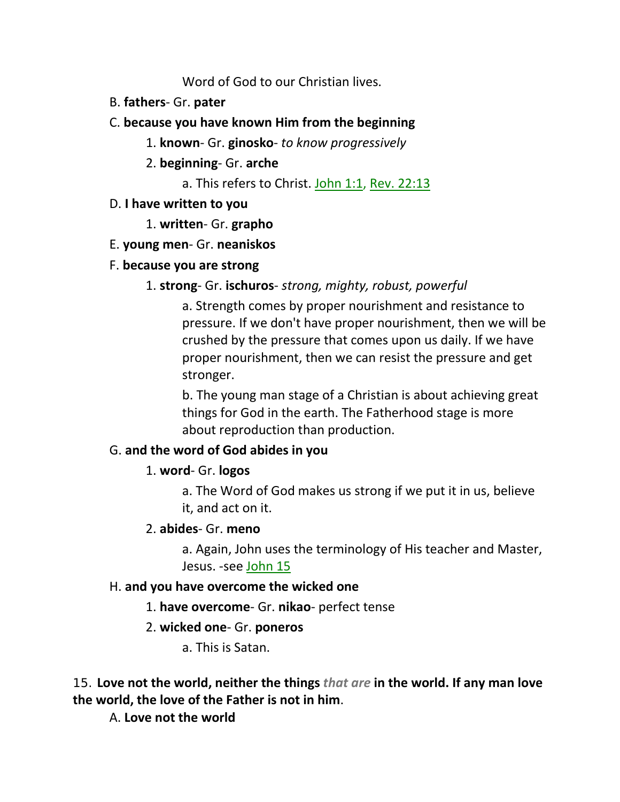Word of God to our Christian lives.

- B. **fathers** Gr. **pater**
- C. **because you have known Him from the beginning**
	- 1. **known** Gr. **ginosko** *to know progressively*
	- 2. **beginning** Gr. **arche**
		- a. This refers to Christ. John 1:1, Rev. 22:13
- D. **I have written to you** 
	- 1. **written** Gr. **grapho**
- E. **young men** Gr. **neaniskos**
- F. **because you are strong**

# 1. **strong**- Gr. **ischuros**- *strong, mighty, robust, powerful*

a. Strength comes by proper nourishment and resistance to pressure. If we don't have proper nourishment, then we will be crushed by the pressure that comes upon us daily. If we have proper nourishment, then we can resist the pressure and get stronger.

b. The young man stage of a Christian is about achieving great things for God in the earth. The Fatherhood stage is more about reproduction than production.

# G. **and the word of God abides in you**

# 1. **word**- Gr. **logos**

a. The Word of God makes us strong if we put it in us, believe it, and act on it.

# 2. **abides**- Gr. **meno**

a. Again, John uses the terminology of His teacher and Master, Jesus. -see John 15

# H. **and you have overcome the wicked one**

- 1. **have overcome** Gr. **nikao** perfect tense
- 2. **wicked one** Gr. **poneros**
	- a. This is Satan.

15. **Love not the world, neither the things** *that are* **in the world. If any man love the world, the love of the Father is not in him**.

A. **Love not the world**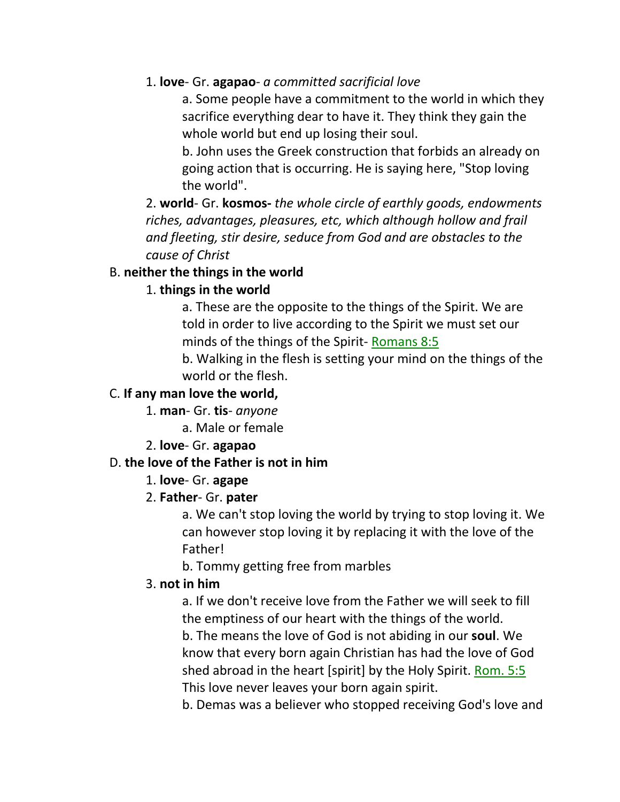### 1. **love**- Gr. **agapao**- *a committed sacrificial love*

a. Some people have a commitment to the world in which they sacrifice everything dear to have it. They think they gain the whole world but end up losing their soul.

b. John uses the Greek construction that forbids an already on going action that is occurring. He is saying here, "Stop loving the world".

2. **world**- Gr. **kosmos-** *the whole circle of earthly goods, endowments riches, advantages, pleasures, etc, which although hollow and frail and fleeting, stir desire, seduce from God and are obstacles to the cause of Christ*

#### B. **neither the things in the world**

# 1. **things in the world**

a. These are the opposite to the things of the Spirit. We are told in order to live according to the Spirit we must set our minds of the things of the Spirit- Romans 8:5

b. Walking in the flesh is setting your mind on the things of the world or the flesh.

### C. **If any man love the world,**

1. **man**- Gr. **tis**- *anyone*

a. Male or female

2. **love**- Gr. **agapao**

#### D. **the love of the Father is not in him**

#### 1. **love**- Gr. **agape**

# 2. **Father**- Gr. **pater**

a. We can't stop loving the world by trying to stop loving it. We can however stop loving it by replacing it with the love of the Father!

b. Tommy getting free from marbles

#### 3. **not in him**

a. If we don't receive love from the Father we will seek to fill the emptiness of our heart with the things of the world. b. The means the love of God is not abiding in our **soul**. We know that every born again Christian has had the love of God shed abroad in the heart [spirit] by the Holy Spirit. Rom. 5:5 This love never leaves your born again spirit.

b. Demas was a believer who stopped receiving God's love and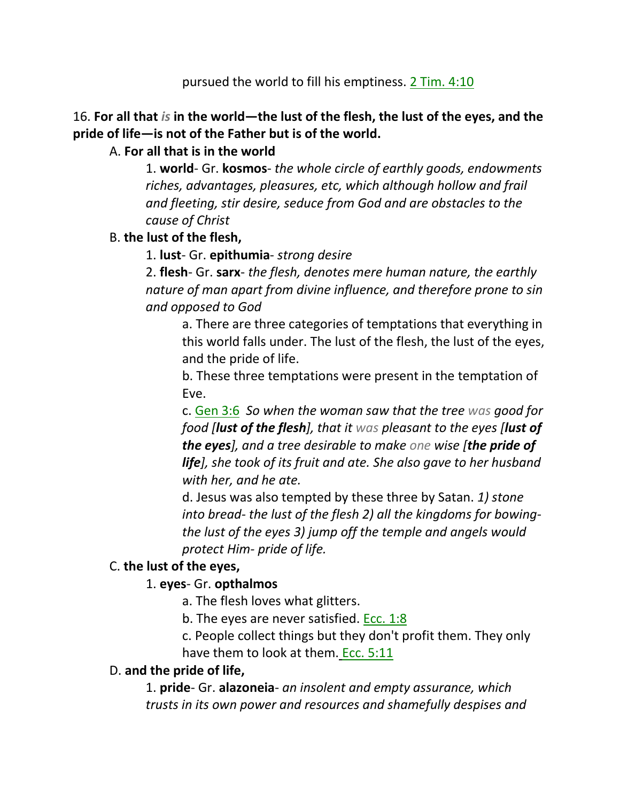pursued the world to fill his emptiness. 2 Tim. 4:10

# 16. **For all that** *is* **in the world—the lust of the flesh, the lust of the eyes, and the pride of life—is not of the Father but is of the world.**

### A. **For all that is in the world**

1. **world**- Gr. **kosmos**- *the whole circle of earthly goods, endowments riches, advantages, pleasures, etc, which although hollow and frail and fleeting, stir desire, seduce from God and are obstacles to the cause of Christ*

### B. **the lust of the flesh,**

1. **lust**- Gr. **epithumia**- *strong desire*

2. **flesh**- Gr. **sarx**- *the flesh, denotes mere human nature, the earthly nature of man apart from divine influence, and therefore prone to sin and opposed to God*

a. There are three categories of temptations that everything in this world falls under. The lust of the flesh, the lust of the eyes, and the pride of life.

b. These three temptations were present in the temptation of Eve.

c. Gen 3:6 *So when the woman saw that the tree was good for food [lust of the flesh], that it was pleasant to the eyes [lust of the eyes], and a tree desirable to make one wise [the pride of life], she took of its fruit and ate. She also gave to her husband with her, and he ate.*

d. Jesus was also tempted by these three by Satan. *1) stone into bread- the lust of the flesh 2) all the kingdoms for bowingthe lust of the eyes 3) jump off the temple and angels would protect Him- pride of life.*

#### C. **the lust of the eyes,**

#### 1. **eyes**- Gr. **opthalmos**

a. The flesh loves what glitters.

b. The eyes are never satisfied. Ecc. 1:8

c. People collect things but they don't profit them. They only have them to look at them. Ecc. 5:11

#### D. **and the pride of life,**

1. **pride**- Gr. **alazoneia**- *an insolent and empty assurance, which trusts in its own power and resources and shamefully despises and*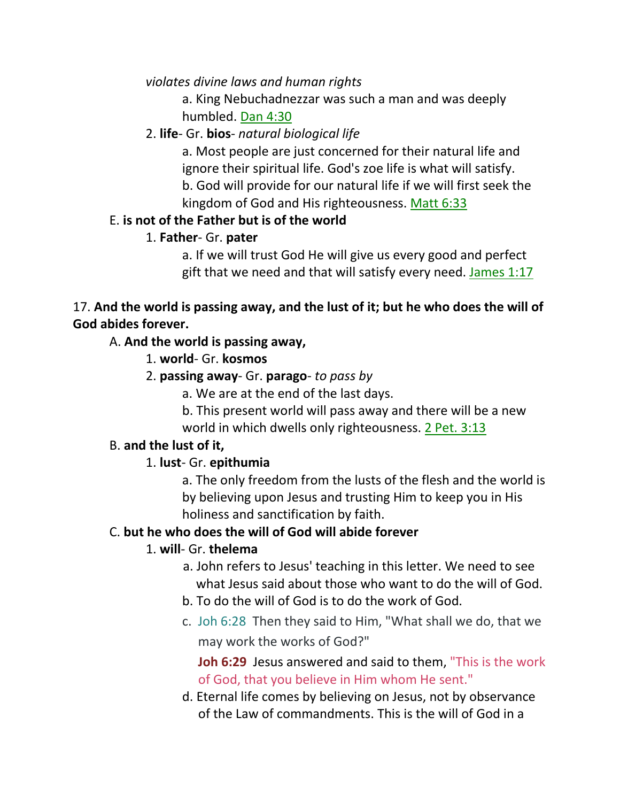*violates divine laws and human rights*

a. King Nebuchadnezzar was such a man and was deeply humbled. Dan 4:30

# 2. **life**- Gr. **bios**- *natural biological life*

a. Most people are just concerned for their natural life and ignore their spiritual life. God's zoe life is what will satisfy. b. God will provide for our natural life if we will first seek the kingdom of God and His righteousness. Matt 6:33

# E. **is not of the Father but is of the world**

# 1. **Father**- Gr. **pater**

a. If we will trust God He will give us every good and perfect gift that we need and that will satisfy every need. James 1:17

# 17. **And the world is passing away, and the lust of it; but he who does the will of God abides forever.**

# A. **And the world is passing away,**

- 1. **world** Gr. **kosmos**
- 2. **passing away** Gr. **parago** *to pass by*
	- a. We are at the end of the last days.
	- b. This present world will pass away and there will be a new world in which dwells only righteousness. 2 Pet. 3:13

# B. **and the lust of it,**

# 1. **lust**- Gr. **epithumia**

a. The only freedom from the lusts of the flesh and the world is by believing upon Jesus and trusting Him to keep you in His holiness and sanctification by faith.

# C. **but he who does the will of God will abide forever**

# 1. **will**- Gr. **thelema**

- a. John refers to Jesus' teaching in this letter. We need to see what Jesus said about those who want to do the will of God.
- b. To do the will of God is to do the work of God.
- c. Joh 6:28 Then they said to Him, "What shall we do, that we may work the works of God?"

 **Joh 6:29** Jesus answered and said to them, "This is the work of God, that you believe in Him whom He sent."

d. Eternal life comes by believing on Jesus, not by observance of the Law of commandments. This is the will of God in a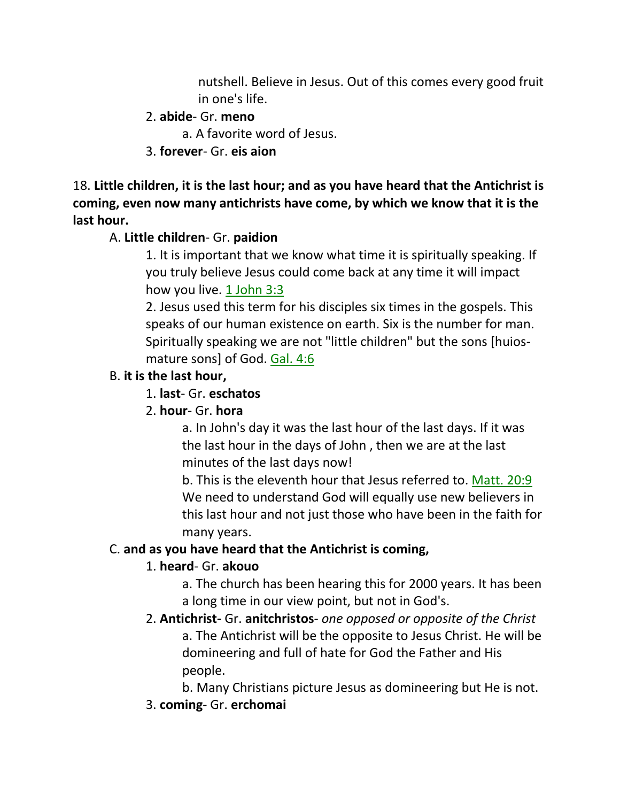nutshell. Believe in Jesus. Out of this comes every good fruit in one's life.

# 2. **abide**- Gr. **meno**

a. A favorite word of Jesus.

# 3. **forever**- Gr. **eis aion**

18. **Little children, it is the last hour; and as you have heard that the Antichrist is coming, even now many antichrists have come, by which we know that it is the last hour.**

# A. **Little children**- Gr. **paidion**

1. It is important that we know what time it is spiritually speaking. If you truly believe Jesus could come back at any time it will impact how you live. 1 John 3:3

2. Jesus used this term for his disciples six times in the gospels. This speaks of our human existence on earth. Six is the number for man. Spiritually speaking we are not "little children" but the sons [huiosmature sons] of God. Gal. 4:6

# B. **it is the last hour,**

# 1. **last**- Gr. **eschatos**

# 2. **hour**- Gr. **hora**

a. In John's day it was the last hour of the last days. If it was the last hour in the days of John , then we are at the last minutes of the last days now!

b. This is the eleventh hour that Jesus referred to. Matt. 20:9 We need to understand God will equally use new believers in this last hour and not just those who have been in the faith for many years.

# C. **and as you have heard that the Antichrist is coming,**

# 1. **heard**- Gr. **akouo**

a. The church has been hearing this for 2000 years. It has been a long time in our view point, but not in God's.

2. **Antichrist-** Gr. **anitchristos**- *one opposed or opposite of the Christ* a. The Antichrist will be the opposite to Jesus Christ. He will be domineering and full of hate for God the Father and His people.

b. Many Christians picture Jesus as domineering but He is not.

3. **coming**- Gr. **erchomai**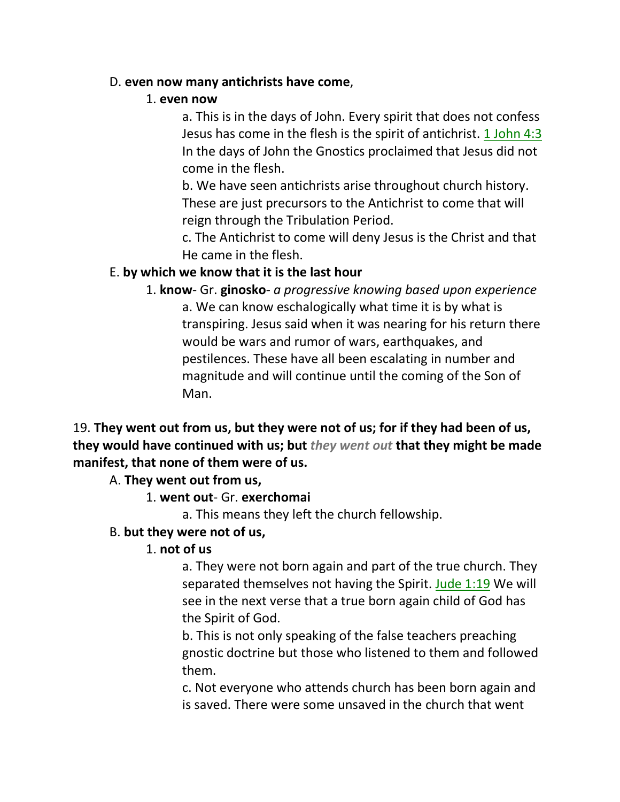#### D. **even now many antichrists have come**,

#### 1. **even now**

a. This is in the days of John. Every spirit that does not confess Jesus has come in the flesh is the spirit of antichrist. 1 John 4:3 In the days of John the Gnostics proclaimed that Jesus did not come in the flesh.

b. We have seen antichrists arise throughout church history. These are just precursors to the Antichrist to come that will reign through the Tribulation Period.

c. The Antichrist to come will deny Jesus is the Christ and that He came in the flesh.

# E. **by which we know that it is the last hour**

1. **know**- Gr. **ginosko**- *a progressive knowing based upon experience* a. We can know eschalogically what time it is by what is transpiring. Jesus said when it was nearing for his return there would be wars and rumor of wars, earthquakes, and pestilences. These have all been escalating in number and magnitude and will continue until the coming of the Son of Man.

19. **They went out from us, but they were not of us; for if they had been of us, they would have continued with us; but** *they went out* **that they might be made manifest, that none of them were of us.**

#### A. **They went out from us,**

1. **went out**- Gr. **exerchomai**

a. This means they left the church fellowship.

# B. **but they were not of us,**

#### 1. **not of us**

a. They were not born again and part of the true church. They separated themselves not having the Spirit. Jude 1:19 We will see in the next verse that a true born again child of God has the Spirit of God.

b. This is not only speaking of the false teachers preaching gnostic doctrine but those who listened to them and followed them.

c. Not everyone who attends church has been born again and is saved. There were some unsaved in the church that went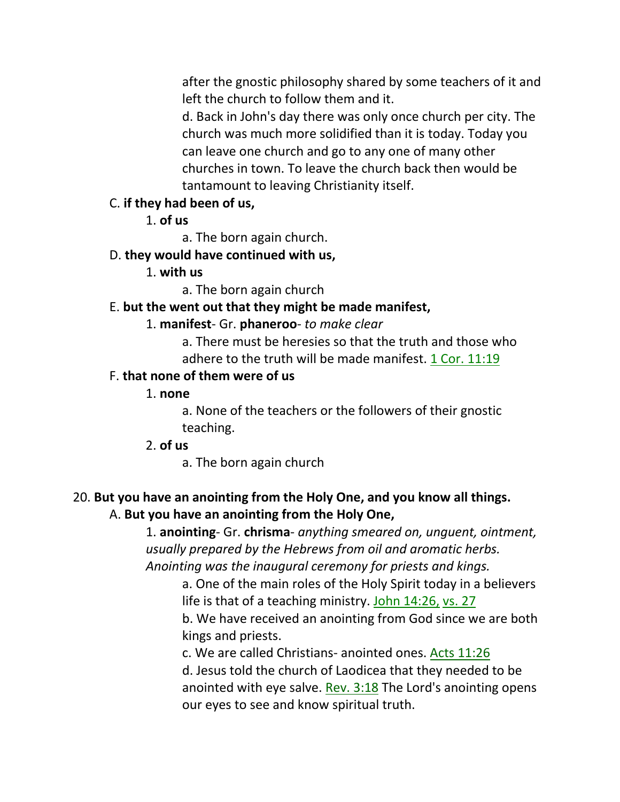after the gnostic philosophy shared by some teachers of it and left the church to follow them and it.

d. Back in John's day there was only once church per city. The church was much more solidified than it is today. Today you can leave one church and go to any one of many other churches in town. To leave the church back then would be tantamount to leaving Christianity itself.

#### C. **if they had been of us,**

1. **of us**

a. The born again church.

#### D. **they would have continued with us,**

1. **with us**

a. The born again church

#### E. **but the went out that they might be made manifest,**

#### 1. **manifest**- Gr. **phaneroo**- *to make clear*

a. There must be heresies so that the truth and those who adhere to the truth will be made manifest. 1 Cor. 11:19

#### F. **that none of them were of us**

#### 1. **none**

a. None of the teachers or the followers of their gnostic teaching.

#### 2. **of us**

a. The born again church

# 20. **But you have an anointing from the Holy One, and you know all things.** A. **But you have an anointing from the Holy One,**

1. **anointing**- Gr. **chrisma**- *anything smeared on, unguent, ointment, usually prepared by the Hebrews from oil and aromatic herbs. Anointing was the inaugural ceremony for priests and kings.*

a. One of the main roles of the Holy Spirit today in a believers life is that of a teaching ministry. John 14:26, vs. 27

b. We have received an anointing from God since we are both kings and priests.

c. We are called Christians- anointed ones. Acts 11:26

d. Jesus told the church of Laodicea that they needed to be anointed with eye salve. Rev. 3:18 The Lord's anointing opens our eyes to see and know spiritual truth.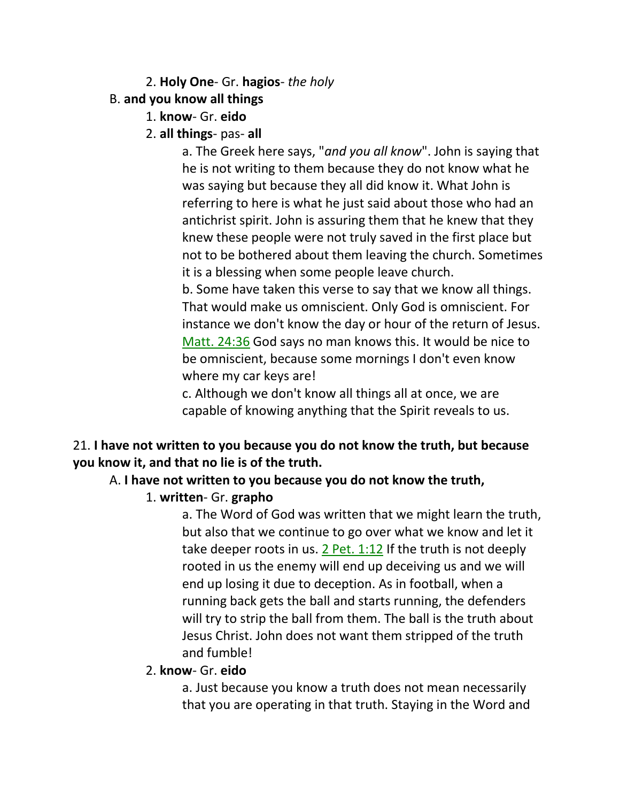### 2. **Holy One**- Gr. **hagios**- *the holy*

### B. **and you know all things**

- 1. **know** Gr. **eido**
- 2. **all things** pas- **all**

a. The Greek here says, "*and you all know*". John is saying that he is not writing to them because they do not know what he was saying but because they all did know it. What John is referring to here is what he just said about those who had an antichrist spirit. John is assuring them that he knew that they knew these people were not truly saved in the first place but not to be bothered about them leaving the church. Sometimes it is a blessing when some people leave church.

b. Some have taken this verse to say that we know all things. That would make us omniscient. Only God is omniscient. For instance we don't know the day or hour of the return of Jesus. Matt. 24:36 God says no man knows this. It would be nice to be omniscient, because some mornings I don't even know where my car keys are!

c. Although we don't know all things all at once, we are capable of knowing anything that the Spirit reveals to us.

# 21. **I have not written to you because you do not know the truth, but because you know it, and that no lie is of the truth.**

# A. **I have not written to you because you do not know the truth,**

1. **written**- Gr. **grapho**

a. The Word of God was written that we might learn the truth, but also that we continue to go over what we know and let it take deeper roots in us. 2 Pet. 1:12 If the truth is not deeply rooted in us the enemy will end up deceiving us and we will end up losing it due to deception. As in football, when a running back gets the ball and starts running, the defenders will try to strip the ball from them. The ball is the truth about Jesus Christ. John does not want them stripped of the truth and fumble!

#### 2. **know**- Gr. **eido**

a. Just because you know a truth does not mean necessarily that you are operating in that truth. Staying in the Word and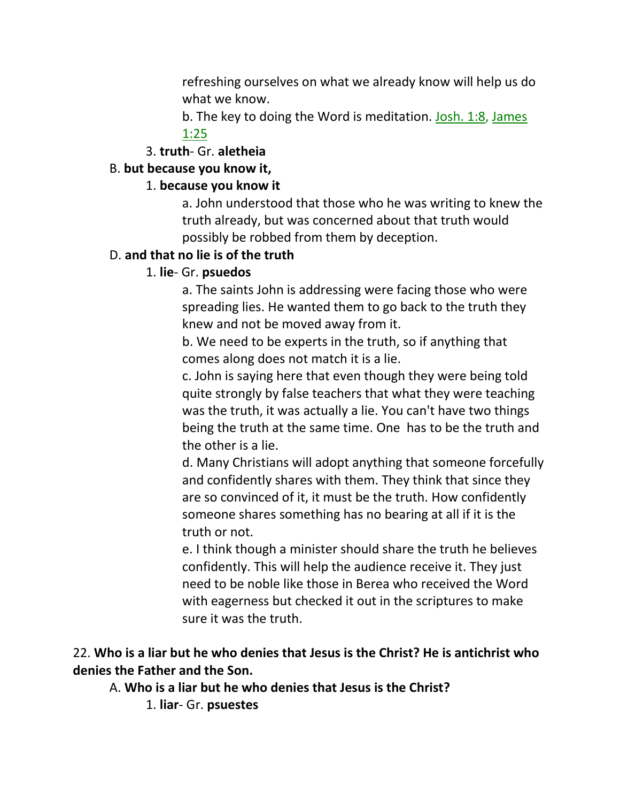refreshing ourselves on what we already know will help us do what we know.

b. The key to doing the Word is meditation. Josh. 1:8, James 1:25

#### 3. **truth**- Gr. **aletheia**

#### B. **but because you know it,**

#### 1. **because you know it**

a. John understood that those who he was writing to knew the truth already, but was concerned about that truth would possibly be robbed from them by deception.

#### D. **and that no lie is of the truth**

#### 1. **lie**- Gr. **psuedos**

a. The saints John is addressing were facing those who were spreading lies. He wanted them to go back to the truth they knew and not be moved away from it.

b. We need to be experts in the truth, so if anything that comes along does not match it is a lie.

c. John is saying here that even though they were being told quite strongly by false teachers that what they were teaching was the truth, it was actually a lie. You can't have two things being the truth at the same time. One has to be the truth and the other is a lie.

d. Many Christians will adopt anything that someone forcefully and confidently shares with them. They think that since they are so convinced of it, it must be the truth. How confidently someone shares something has no bearing at all if it is the truth or not.

e. I think though a minister should share the truth he believes confidently. This will help the audience receive it. They just need to be noble like those in Berea who received the Word with eagerness but checked it out in the scriptures to make sure it was the truth.

### 22. **Who is a liar but he who denies that Jesus is the Christ? He is antichrist who denies the Father and the Son.**

A. **Who is a liar but he who denies that Jesus is the Christ?**

1. **liar**- Gr. **psuestes**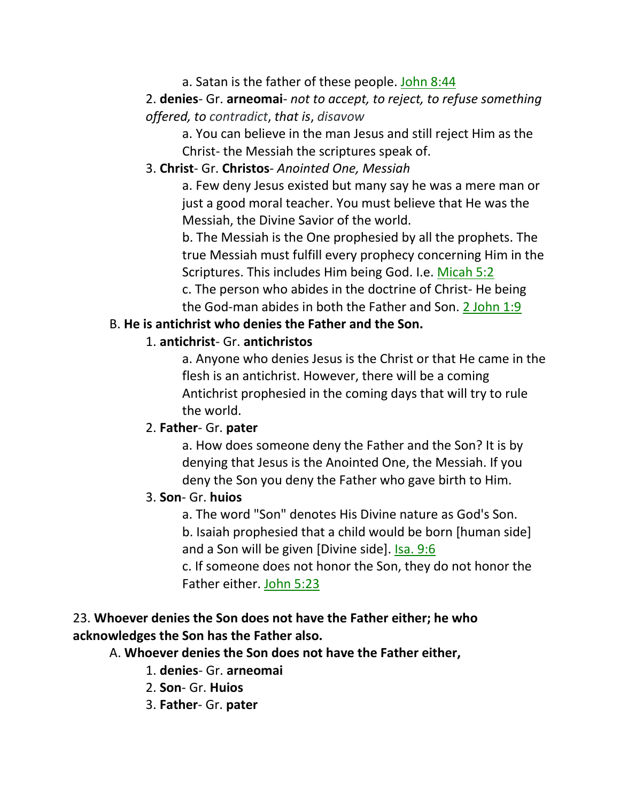### a. Satan is the father of these people. John 8:44

# 2. **denies**- Gr. **arneomai**- *not to accept, to reject, to refuse something offered, to contradict*, *that is*, *disavow*

a. You can believe in the man Jesus and still reject Him as the Christ- the Messiah the scriptures speak of.

#### 3. **Christ**- Gr. **Christos**- *Anointed One, Messiah*

a. Few deny Jesus existed but many say he was a mere man or just a good moral teacher. You must believe that He was the Messiah, the Divine Savior of the world.

b. The Messiah is the One prophesied by all the prophets. The true Messiah must fulfill every prophecy concerning Him in the Scriptures. This includes Him being God. I.e. Micah 5:2

c. The person who abides in the doctrine of Christ- He being the God-man abides in both the Father and Son. 2 John 1:9

### B. **He is antichrist who denies the Father and the Son.**

### 1. **antichrist**- Gr. **antichristos**

a. Anyone who denies Jesus is the Christ or that He came in the flesh is an antichrist. However, there will be a coming Antichrist prophesied in the coming days that will try to rule the world.

#### 2. **Father**- Gr. **pater**

a. How does someone deny the Father and the Son? It is by denying that Jesus is the Anointed One, the Messiah. If you deny the Son you deny the Father who gave birth to Him.

#### 3. **Son**- Gr. **huios**

a. The word "Son" denotes His Divine nature as God's Son. b. Isaiah prophesied that a child would be born [human side] and a Son will be given [Divine side]. Isa. 9:6

c. If someone does not honor the Son, they do not honor the Father either. John 5:23

# 23. **Whoever denies the Son does not have the Father either; he who acknowledges the Son has the Father also.**

# A. **Whoever denies the Son does not have the Father either,**

- 1. **denies** Gr. **arneomai**
- 2. **Son** Gr. **Huios**
- 3. **Father** Gr. **pater**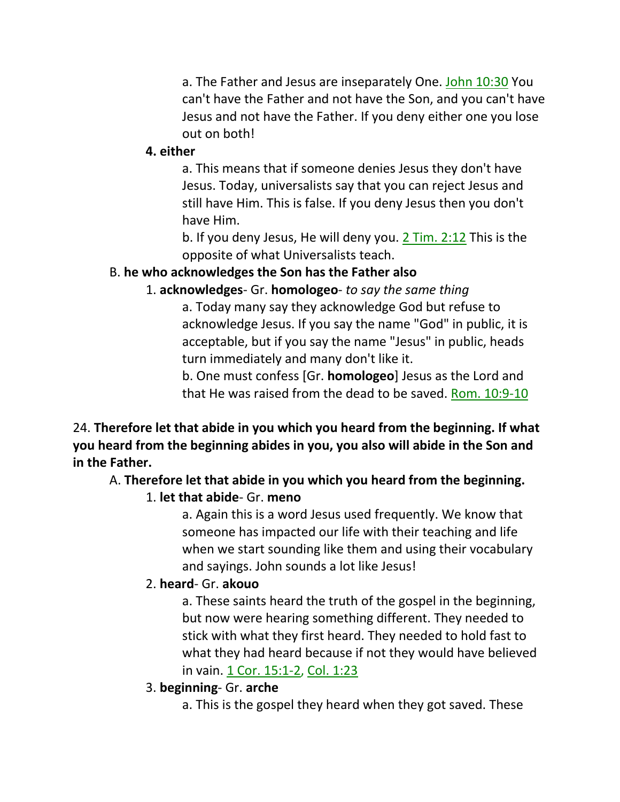a. The Father and Jesus are inseparately One. John 10:30 You can't have the Father and not have the Son, and you can't have Jesus and not have the Father. If you deny either one you lose out on both!

#### **4. either**

a. This means that if someone denies Jesus they don't have Jesus. Today, universalists say that you can reject Jesus and still have Him. This is false. If you deny Jesus then you don't have Him.

b. If you deny Jesus, He will deny you. 2 Tim. 2:12 This is the opposite of what Universalists teach.

# B. **he who acknowledges the Son has the Father also**

1. **acknowledges**- Gr. **homologeo**- *to say the same thing*

a. Today many say they acknowledge God but refuse to acknowledge Jesus. If you say the name "God" in public, it is acceptable, but if you say the name "Jesus" in public, heads turn immediately and many don't like it.

b. One must confess [Gr. **homologeo**] Jesus as the Lord and that He was raised from the dead to be saved. Rom. 10:9-10

24. **Therefore let that abide in you which you heard from the beginning. If what you heard from the beginning abides in you, you also will abide in the Son and in the Father.**

A. **Therefore let that abide in you which you heard from the beginning.**

# 1. **let that abide**- Gr. **meno**

a. Again this is a word Jesus used frequently. We know that someone has impacted our life with their teaching and life when we start sounding like them and using their vocabulary and sayings. John sounds a lot like Jesus!

# 2. **heard**- Gr. **akouo**

a. These saints heard the truth of the gospel in the beginning, but now were hearing something different. They needed to stick with what they first heard. They needed to hold fast to what they had heard because if not they would have believed in vain. 1 Cor. 15:1-2, Col. 1:23

- 3. **beginning** Gr. **arche**
	- a. This is the gospel they heard when they got saved. These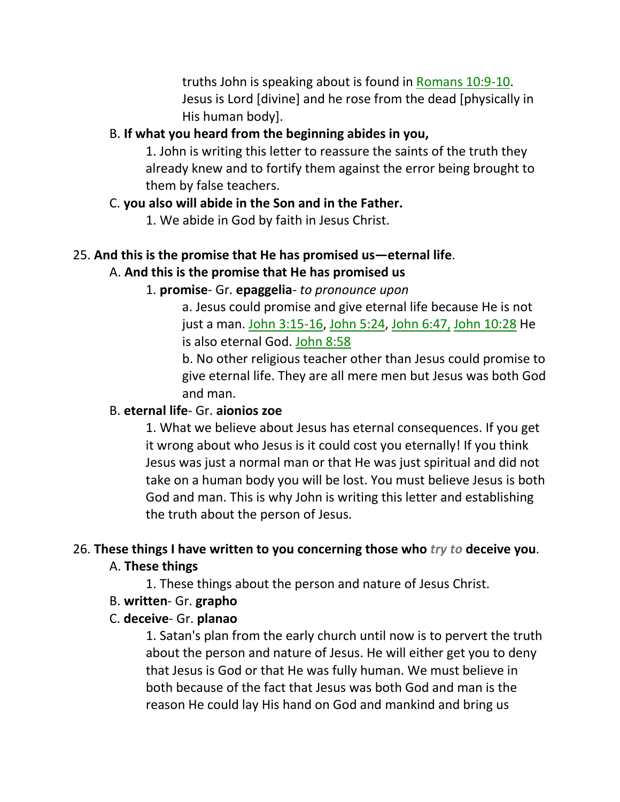truths John is speaking about is found in Romans 10:9-10. Jesus is Lord [divine] and he rose from the dead [physically in His human body].

### B. **If what you heard from the beginning abides in you,**

1. John is writing this letter to reassure the saints of the truth they already knew and to fortify them against the error being brought to them by false teachers.

### C. **you also will abide in the Son and in the Father.**

1. We abide in God by faith in Jesus Christ.

# 25. **And this is the promise that He has promised us—eternal life**. A. **And this is the promise that He has promised us**

# 1. **promise**- Gr. **epaggelia**- *to pronounce upon*

a. Jesus could promise and give eternal life because He is not just a man. John 3:15-16, John 5:24, John 6:47, John 10:28 He is also eternal God. John 8:58

b. No other religious teacher other than Jesus could promise to give eternal life. They are all mere men but Jesus was both God and man.

# B. **eternal life**- Gr. **aionios zoe**

1. What we believe about Jesus has eternal consequences. If you get it wrong about who Jesus is it could cost you eternally! If you think Jesus was just a normal man or that He was just spiritual and did not take on a human body you will be lost. You must believe Jesus is both God and man. This is why John is writing this letter and establishing the truth about the person of Jesus.

# 26. **These things I have written to you concerning those who** *try to* **deceive you**.

# A. **These things**

1. These things about the person and nature of Jesus Christ.

# B. **written**- Gr. **grapho**

# C. **deceive**- Gr. **planao**

1. Satan's plan from the early church until now is to pervert the truth about the person and nature of Jesus. He will either get you to deny that Jesus is God or that He was fully human. We must believe in both because of the fact that Jesus was both God and man is the reason He could lay His hand on God and mankind and bring us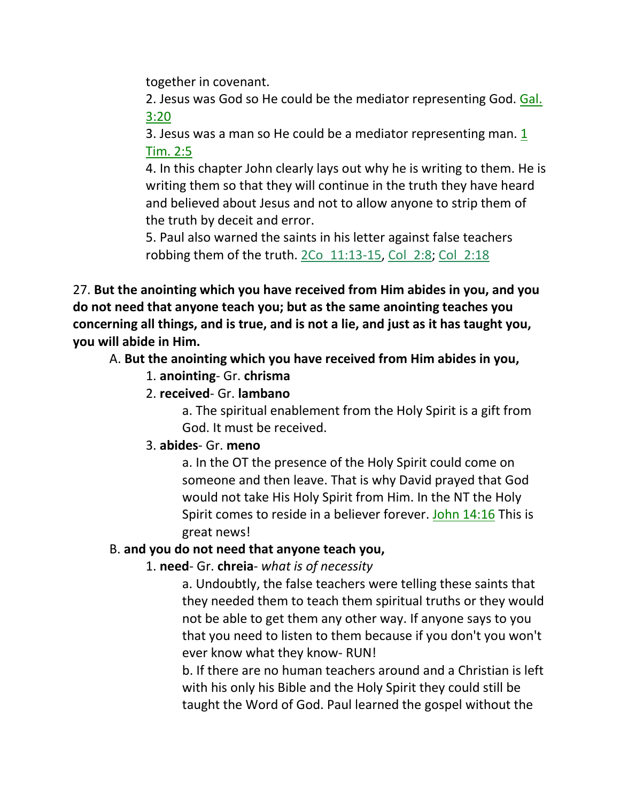together in covenant.

2. Jesus was God so He could be the mediator representing God. Gal. 3:20

3. Jesus was a man so He could be a mediator representing man. 1 Tim. 2:5

4. In this chapter John clearly lays out why he is writing to them. He is writing them so that they will continue in the truth they have heard and believed about Jesus and not to allow anyone to strip them of the truth by deceit and error.

5. Paul also warned the saints in his letter against false teachers robbing them of the truth.  $2Co$   $11:13-15$ , Col  $2:8$ ; Col  $2:18$ 

27. **But the anointing which you have received from Him abides in you, and you do not need that anyone teach you; but as the same anointing teaches you concerning all things, and is true, and is not a lie, and just as it has taught you, you will abide in Him.**

# A. **But the anointing which you have received from Him abides in you,**

- 1. **anointing** Gr. **chrisma**
- 2. **received** Gr. **lambano**

a. The spiritual enablement from the Holy Spirit is a gift from God. It must be received.

# 3. **abides**- Gr. **meno**

a. In the OT the presence of the Holy Spirit could come on someone and then leave. That is why David prayed that God would not take His Holy Spirit from Him. In the NT the Holy Spirit comes to reside in a believer forever. John 14:16 This is great news!

# B. **and you do not need that anyone teach you,**

1. **need**- Gr. **chreia**- *what is of necessity*

a. Undoubtly, the false teachers were telling these saints that they needed them to teach them spiritual truths or they would not be able to get them any other way. If anyone says to you that you need to listen to them because if you don't you won't ever know what they know- RUN!

b. If there are no human teachers around and a Christian is left with his only his Bible and the Holy Spirit they could still be taught the Word of God. Paul learned the gospel without the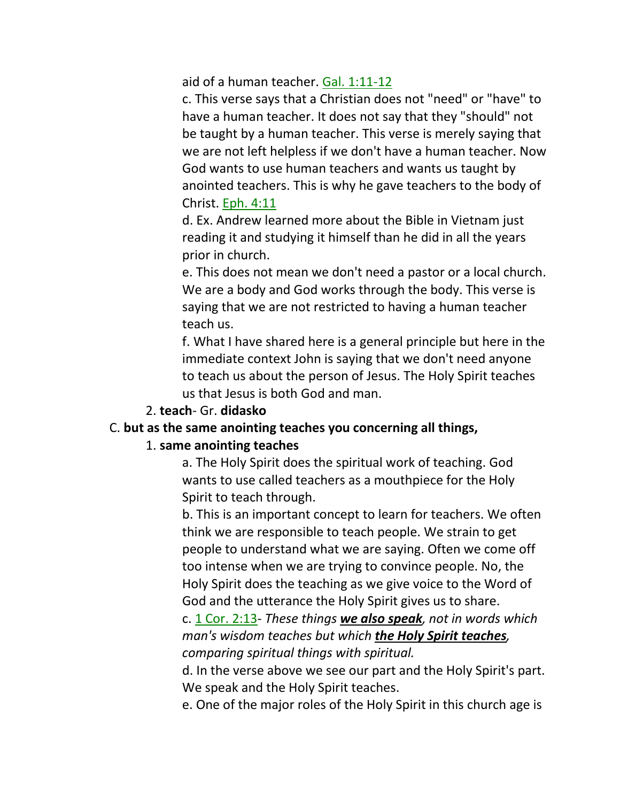aid of a human teacher. Gal. 1:11-12

c. This verse says that a Christian does not "need" or "have" to have a human teacher. It does not say that they "should" not be taught by a human teacher. This verse is merely saying that we are not left helpless if we don't have a human teacher. Now God wants to use human teachers and wants us taught by anointed teachers. This is why he gave teachers to the body of Christ. Eph. 4:11

d. Ex. Andrew learned more about the Bible in Vietnam just reading it and studying it himself than he did in all the years prior in church.

e. This does not mean we don't need a pastor or a local church. We are a body and God works through the body. This verse is saying that we are not restricted to having a human teacher teach us.

f. What I have shared here is a general principle but here in the immediate context John is saying that we don't need anyone to teach us about the person of Jesus. The Holy Spirit teaches us that Jesus is both God and man.

#### 2. **teach**- Gr. **didasko**

#### C. **but as the same anointing teaches you concerning all things,**

#### 1. **same anointing teaches**

a. The Holy Spirit does the spiritual work of teaching. God wants to use called teachers as a mouthpiece for the Holy Spirit to teach through.

b. This is an important concept to learn for teachers. We often think we are responsible to teach people. We strain to get people to understand what we are saying. Often we come off too intense when we are trying to convince people. No, the Holy Spirit does the teaching as we give voice to the Word of God and the utterance the Holy Spirit gives us to share.

c. 1 Cor. 2:13- *These things we also speak, not in words which man's wisdom teaches but which the Holy Spirit teaches, comparing spiritual things with spiritual.*

d. In the verse above we see our part and the Holy Spirit's part. We speak and the Holy Spirit teaches.

e. One of the major roles of the Holy Spirit in this church age is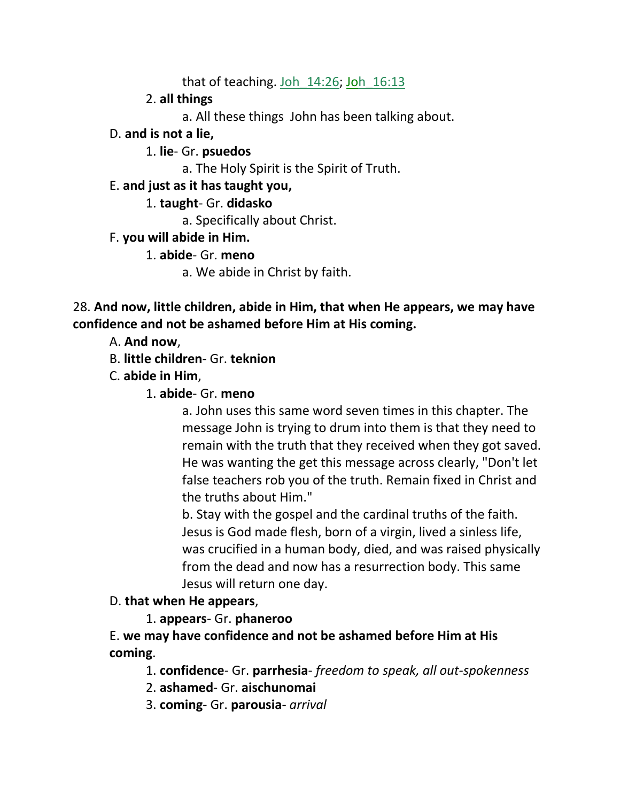that of teaching. Joh  $14:26$ ; Joh  $16:13$ 

# 2. **all things**

a. All these things John has been talking about.

# D. **and is not a lie,**

# 1. **lie**- Gr. **psuedos**

a. The Holy Spirit is the Spirit of Truth.

# E. **and just as it has taught you,**

# 1. **taught**- Gr. **didasko**

a. Specifically about Christ.

# F. **you will abide in Him.**

# 1. **abide**- Gr. **meno**

a. We abide in Christ by faith.

28. **And now, little children, abide in Him, that when He appears, we may have confidence and not be ashamed before Him at His coming.**

# A. **And now**,

- B. **little children** Gr. **teknion**
- C. **abide in Him**,
	- 1. **abide** Gr. **meno**

a. John uses this same word seven times in this chapter. The message John is trying to drum into them is that they need to remain with the truth that they received when they got saved. He was wanting the get this message across clearly, "Don't let false teachers rob you of the truth. Remain fixed in Christ and the truths about Him."

b. Stay with the gospel and the cardinal truths of the faith. Jesus is God made flesh, born of a virgin, lived a sinless life, was crucified in a human body, died, and was raised physically from the dead and now has a resurrection body. This same Jesus will return one day.

# D. **that when He appears**,

# 1. **appears**- Gr. **phaneroo**

E. **we may have confidence and not be ashamed before Him at His coming**.

1. **confidence**- Gr. **parrhesia**- *freedom to speak, all out-spokenness*

- 2. **ashamed** Gr. **aischunomai**
- 3. **coming** Gr. **parousia** *arrival*